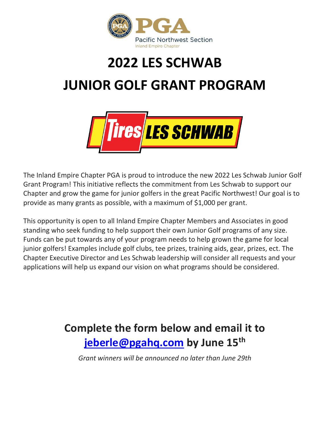

## **2022 LES SCHWAB JUNIOR GOLF GRANT PROGRAM**



The Inland Empire Chapter PGA is proud to introduce the new 2022 Les Schwab Junior Golf Grant Program! This initiative reflects the commitment from Les Schwab to support our Chapter and grow the game for junior golfers in the great Pacific Northwest! Our goal is to provide as many grants as possible, with a maximum of \$1,000 per grant.

This opportunity is open to all Inland Empire Chapter Members and Associates in good standing who seek funding to help support their own Junior Golf programs of any size. Funds can be put towards any of your program needs to help grown the game for local junior golfers! Examples include golf clubs, tee prizes, training aids, gear, prizes, ect. The Chapter Executive Director and Les Schwab leadership will consider all requests and your applications will help us expand our vision on what programs should be considered.

## **Complete the form below and email it to [jeberle@pgahq.com](mailto:jeberle@pgahq.com) by June 15th**

*Grant winners will be announced no later than June 29th*